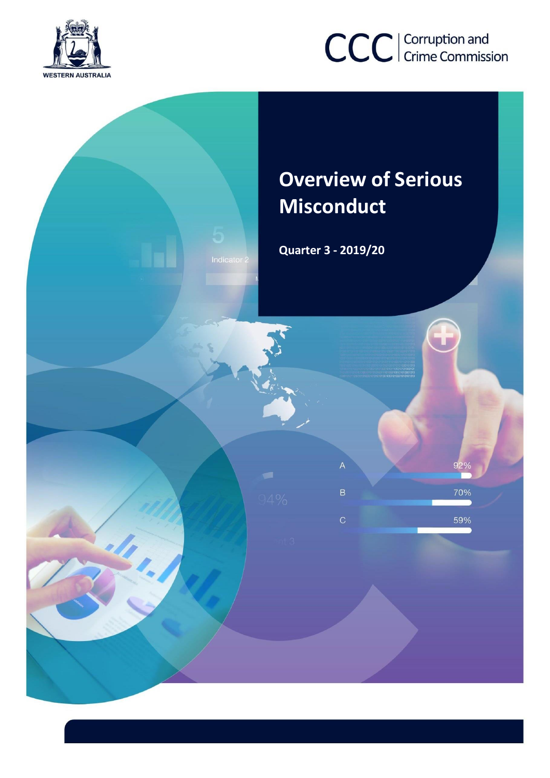

# CCC | Corruption and

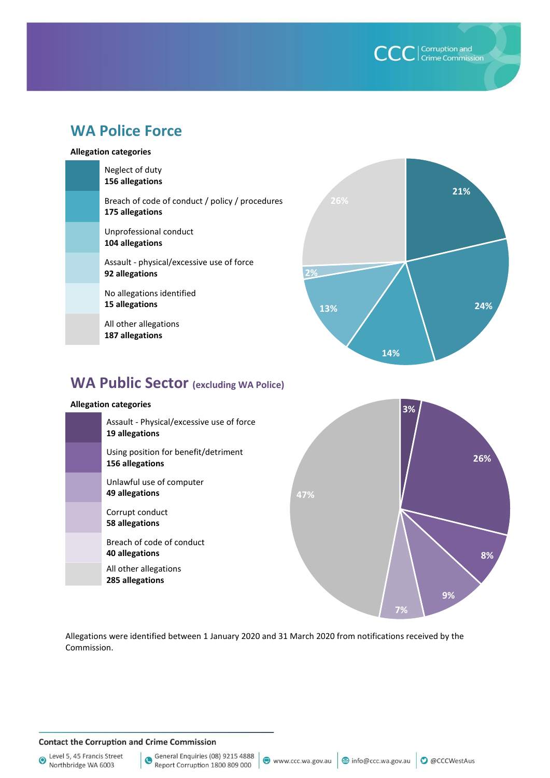**CCC** | Corruption and

# **WA Police Force**

#### **Allegation categories**

| Neglect of duty<br>156 allegations                                 |     |
|--------------------------------------------------------------------|-----|
| Breach of code of conduct / policy / procedures<br>175 allegations | 26% |
| Unprofessional conduct<br>104 allegations                          |     |
| Assault - physical/excessive use of force<br>92 allegations        | 2%  |
| No allegations identified<br>15 allegations                        | 13% |
| All other allegations<br>187 allegations                           |     |



# **WA Public Sector (excluding WA Police)**

#### **Allegation categories**

| Assault - Physical/excessive use of force<br>19 allegations |     |
|-------------------------------------------------------------|-----|
| Using position for benefit/detriment<br>156 allegations     |     |
| Unlawful use of computer<br>49 allegations                  | 47% |
| Corrupt conduct<br>58 allegations                           |     |
| Breach of code of conduct<br>40 allegations                 |     |
| All other allegations<br>285 allegations                    |     |



Allegations were identified between 1 January 2020 and 31 March 2020 from notifications received by the Commission.

#### **Contact the Corruption and Crime Commission**

Level 5, 45 Francis Street Northbridge WA 6003

General Enquiries (08) 9215 4888 Report Corruption 1800 809 000

● www.ccc.wa.gov.au | 3 info@ccc.wa.gov.au | ● @CCCWestAus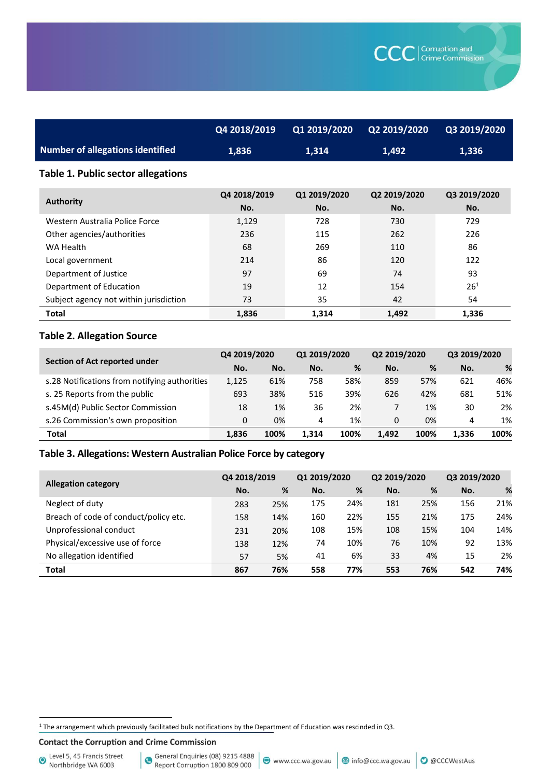|                                  | Q4 2018/2019 | $\sqrt{01\,2019/2020}$ | Q2 2019/2020 | Q3 2019/2020 |
|----------------------------------|--------------|------------------------|--------------|--------------|
| Number of allegations identified | 1.836        | 1.314                  | 1.492        | 1.336        |

#### **Table 1. Public sector allegations**

| <b>Authority</b>                       | Q4 2018/2019<br>No. | Q1 2019/2020<br>No. | Q2 2019/2020<br>No. | Q3 2019/2020<br>No. |
|----------------------------------------|---------------------|---------------------|---------------------|---------------------|
| Western Australia Police Force         | 1,129               | 728                 | 730                 | 729                 |
| Other agencies/authorities             | 236                 | 115                 | 262                 | 226                 |
| WA Health                              | 68                  | 269                 | 110                 | 86                  |
| Local government                       | 214                 | 86                  | 120                 | 122                 |
| Department of Justice                  | 97                  | 69                  | 74                  | 93                  |
| Department of Education                | 19                  | 12                  | 154                 | $26^{1}$            |
| Subject agency not within jurisdiction | 73                  | 35                  | 42                  | 54                  |
| <b>Total</b>                           | 1,836               | 1.314               | 1,492               | 1,336               |

## **Table 2. Allegation Source**

| Section of Act reported under                 | Q4 2019/2020 |      | Q1 2019/2020 |      | Q2 2019/2020 |      | Q3 2019/2020 |      |
|-----------------------------------------------|--------------|------|--------------|------|--------------|------|--------------|------|
|                                               | No.          | No.  | No.          | %    | No.          | %    | No.          | %    |
| s.28 Notifications from notifying authorities | 1,125        | 61%  | 758          | 58%  | 859          | 57%  | 621          | 46%  |
| s. 25 Reports from the public                 | 693          | 38%  | 516          | 39%  | 626          | 42%  | 681          | 51%  |
| s.45M(d) Public Sector Commission             | 18           | 1%   | 36           | 2%   |              | 1%   | 30           | 2%   |
| s.26 Commission's own proposition             | 0            | 0%   | 4            | 1%   | 0            | 0%   | 4            | 1%   |
| <b>Total</b>                                  | 1.836        | 100% | 1.314        | 100% | 1.492        | 100% | 1.336        | 100% |

#### **Table 3. Allegations: Western Australian Police Force by category**

|                                       | Q4 2018/2019 |     | Q1 2019/2020 |     | Q2 2019/2020 |     | Q3 2019/2020 |     |
|---------------------------------------|--------------|-----|--------------|-----|--------------|-----|--------------|-----|
| <b>Allegation category</b>            | No.          | %   | No.          | %   | No.          | %   | No.          | %   |
| Neglect of duty                       | 283          | 25% | 175          | 24% | 181          | 25% | 156          | 21% |
| Breach of code of conduct/policy etc. | 158          | 14% | 160          | 22% | 155          | 21% | 175          | 24% |
| Unprofessional conduct                | 231          | 20% | 108          | 15% | 108          | 15% | 104          | 14% |
| Physical/excessive use of force       | 138          | 12% | 74           | 10% | 76           | 10% | 92           | 13% |
| No allegation identified              | 57           | 5%  | 41           | 6%  | 33           | 4%  | 15           | 2%  |
| <b>Total</b>                          | 867          | 76% | 558          | 77% | 553          | 76% | 542          | 74% |

 $1$  The arrangement which previously facilitated bulk notifications by the Department of Education was rescinded in Q3.

**Contact the Corruption and Crime Commission** 

Level 5, 45 Francis Street<br>Northbridge WA 6003

 $\overline{a}$